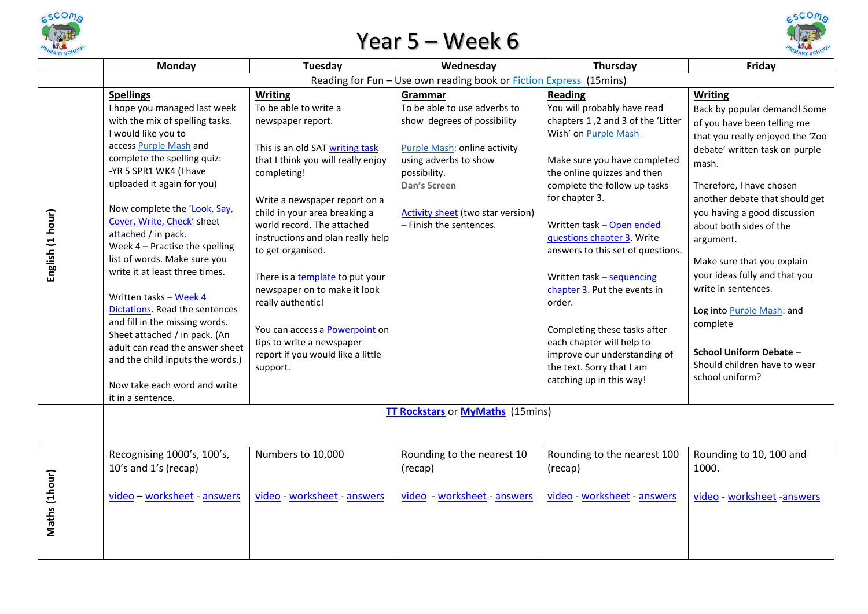

## Year 5 – Week 6



|                  | Monday                                                                                                                                                                                                                                                                                                                                                                                                                                                                                                                                                                                                                                                     | Tuesday                                                                                                                                                                                                                                                                                                                                                                                                                                                                                                                | Wednesday                                                                                                                                                                                                                                     | Thursday                                                                                                                                                                                                                                                                                                                                                                                                                                                                                                                                                 | Friday                                                                                                                                                                                                                                                                                                                                                                                                                                                                                                          |  |  |  |  |
|------------------|------------------------------------------------------------------------------------------------------------------------------------------------------------------------------------------------------------------------------------------------------------------------------------------------------------------------------------------------------------------------------------------------------------------------------------------------------------------------------------------------------------------------------------------------------------------------------------------------------------------------------------------------------------|------------------------------------------------------------------------------------------------------------------------------------------------------------------------------------------------------------------------------------------------------------------------------------------------------------------------------------------------------------------------------------------------------------------------------------------------------------------------------------------------------------------------|-----------------------------------------------------------------------------------------------------------------------------------------------------------------------------------------------------------------------------------------------|----------------------------------------------------------------------------------------------------------------------------------------------------------------------------------------------------------------------------------------------------------------------------------------------------------------------------------------------------------------------------------------------------------------------------------------------------------------------------------------------------------------------------------------------------------|-----------------------------------------------------------------------------------------------------------------------------------------------------------------------------------------------------------------------------------------------------------------------------------------------------------------------------------------------------------------------------------------------------------------------------------------------------------------------------------------------------------------|--|--|--|--|
|                  | Reading for Fun - Use own reading book or <b>Fiction Express</b> (15mins)                                                                                                                                                                                                                                                                                                                                                                                                                                                                                                                                                                                  |                                                                                                                                                                                                                                                                                                                                                                                                                                                                                                                        |                                                                                                                                                                                                                                               |                                                                                                                                                                                                                                                                                                                                                                                                                                                                                                                                                          |                                                                                                                                                                                                                                                                                                                                                                                                                                                                                                                 |  |  |  |  |
| English (1 hour) | <b>Spellings</b><br>I hope you managed last week<br>with the mix of spelling tasks.<br>I would like you to<br>access Purple Mash and<br>complete the spelling quiz:<br>-YR 5 SPR1 WK4 (I have<br>uploaded it again for you)<br>Now complete the 'Look, Say,<br>Cover, Write, Check' sheet<br>attached / in pack.<br>Week 4 - Practise the spelling<br>list of words. Make sure you<br>write it at least three times.<br>Written tasks - Week 4<br>Dictations. Read the sentences<br>and fill in the missing words.<br>Sheet attached / in pack. (An<br>adult can read the answer sheet<br>and the child inputs the words.)<br>Now take each word and write | <b>Writing</b><br>To be able to write a<br>newspaper report.<br>This is an old SAT writing task<br>that I think you will really enjoy<br>completing!<br>Write a newspaper report on a<br>child in your area breaking a<br>world record. The attached<br>instructions and plan really help<br>to get organised.<br>There is a template to put your<br>newspaper on to make it look<br>really authentic!<br>You can access a Powerpoint on<br>tips to write a newspaper<br>report if you would like a little<br>support. | Grammar<br>To be able to use adverbs to<br>show degrees of possibility<br><b>Purple Mash: online activity</b><br>using adverbs to show<br>possibility.<br>Dan's Screen<br><b>Activity sheet</b> (two star version)<br>- Finish the sentences. | <b>Reading</b><br>You will probably have read<br>chapters 1,2 and 3 of the 'Litter<br>Wish' on Purple Mash<br>Make sure you have completed<br>the online quizzes and then<br>complete the follow up tasks<br>for chapter 3.<br>Written task - Open ended<br>questions chapter 3. Write<br>answers to this set of questions.<br>Written task - sequencing<br>chapter 3. Put the events in<br>order.<br>Completing these tasks after<br>each chapter will help to<br>improve our understanding of<br>the text. Sorry that I am<br>catching up in this way! | <b>Writing</b><br>Back by popular demand! Some<br>of you have been telling me<br>that you really enjoyed the 'Zoo<br>debate' written task on purple<br>mash.<br>Therefore, I have chosen<br>another debate that should get<br>you having a good discussion<br>about both sides of the<br>argument.<br>Make sure that you explain<br>your ideas fully and that you<br>write in sentences.<br>Log into Purple Mash: and<br>complete<br>School Uniform Debate -<br>Should children have to wear<br>school uniform? |  |  |  |  |
|                  | it in a sentence.                                                                                                                                                                                                                                                                                                                                                                                                                                                                                                                                                                                                                                          |                                                                                                                                                                                                                                                                                                                                                                                                                                                                                                                        |                                                                                                                                                                                                                                               |                                                                                                                                                                                                                                                                                                                                                                                                                                                                                                                                                          |                                                                                                                                                                                                                                                                                                                                                                                                                                                                                                                 |  |  |  |  |
|                  | <b>TT Rockstars or MyMaths (15mins)</b>                                                                                                                                                                                                                                                                                                                                                                                                                                                                                                                                                                                                                    |                                                                                                                                                                                                                                                                                                                                                                                                                                                                                                                        |                                                                                                                                                                                                                                               |                                                                                                                                                                                                                                                                                                                                                                                                                                                                                                                                                          |                                                                                                                                                                                                                                                                                                                                                                                                                                                                                                                 |  |  |  |  |
| Maths (1hour)    | Recognising 1000's, 100's,<br>10's and 1's (recap)<br>video - worksheet - answers                                                                                                                                                                                                                                                                                                                                                                                                                                                                                                                                                                          | Numbers to 10,000<br>video - worksheet - answers                                                                                                                                                                                                                                                                                                                                                                                                                                                                       | Rounding to the nearest 10<br>(recap)<br>video - worksheet - answers                                                                                                                                                                          | Rounding to the nearest 100<br>(recap)<br>video - worksheet - answers                                                                                                                                                                                                                                                                                                                                                                                                                                                                                    | Rounding to 10, 100 and<br>1000.<br>video - worksheet -answers                                                                                                                                                                                                                                                                                                                                                                                                                                                  |  |  |  |  |